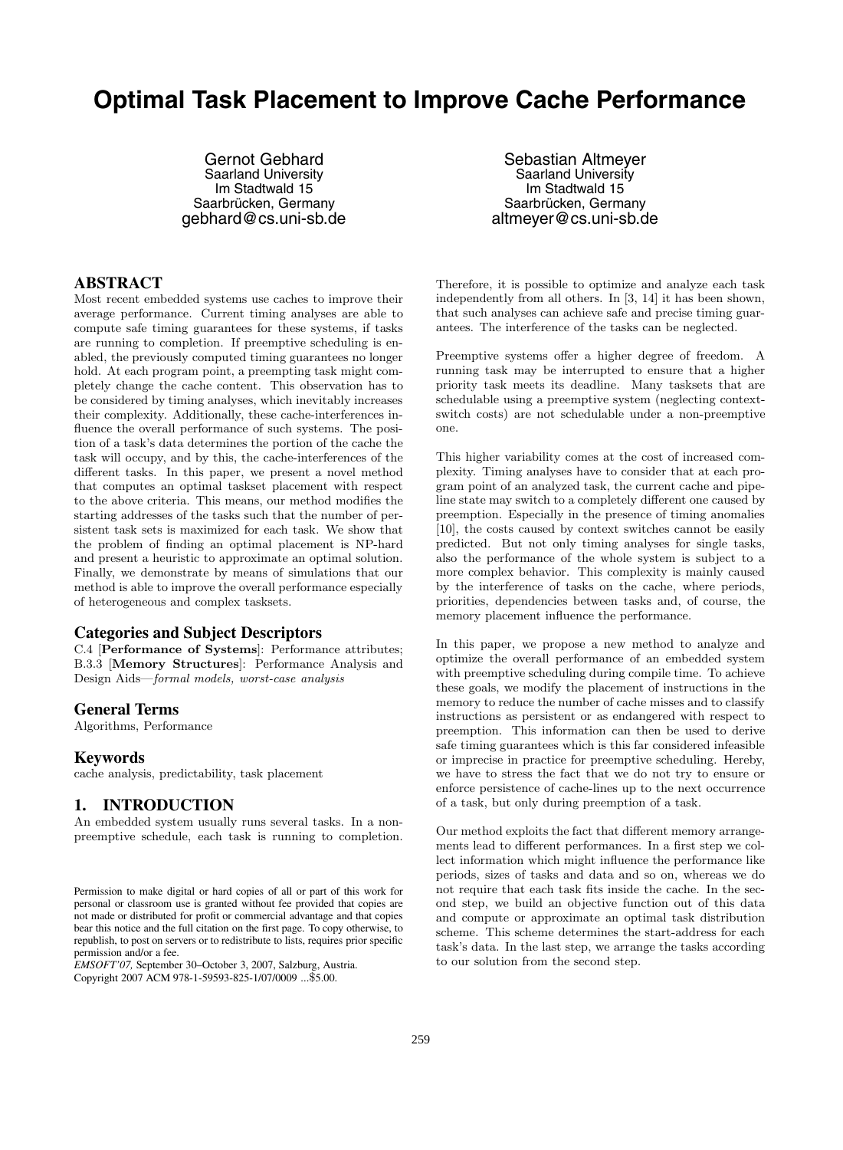# **Optimal Task Placement to Improve Cache Performance**

Gernot Gebhard Saarland University Im Stadtwald 15 Saarbrücken, Germany gebhard@cs.uni-sb.de

# **ABSTRACT**

Most recent embedded systems use caches to improve their average performance. Current timing analyses are able to compute safe timing guarantees for these systems, if tasks are running to completion. If preemptive scheduling is enabled, the previously computed timing guarantees no longer hold. At each program point, a preempting task might completely change the cache content. This observation has to be considered by timing analyses, which inevitably increases their complexity. Additionally, these cache-interferences influence the overall performance of such systems. The position of a task's data determines the portion of the cache the task will occupy, and by this, the cache-interferences of the different tasks. In this paper, we present a novel method that computes an optimal taskset placement with respect to the above criteria. This means, our method modifies the starting addresses of the tasks such that the number of persistent task sets is maximized for each task. We show that the problem of finding an optimal placement is NP-hard and present a heuristic to approximate an optimal solution. Finally, we demonstrate by means of simulations that our method is able to improve the overall performance especially of heterogeneous and complex tasksets.

### **Categories and Subject Descriptors**

C.4 [**Performance of Systems**]: Performance attributes; B.3.3 [**Memory Structures**]: Performance Analysis and Design Aids—*formal models, worst-case analysis*

### **General Terms**

Algorithms, Performance

### **Keywords**

cache analysis, predictability, task placement

# **1. INTRODUCTION**

An embedded system usually runs several tasks. In a nonpreemptive schedule, each task is running to completion.

*EMSOFT'07,* September 30–October 3, 2007, Salzburg, Austria. Copyright 2007 ACM 978-1-59593-825-1/07/0009 ...\$5.00.

Sebastian Altmeyer Saarland University Im Stadtwald 15 Saarbrücken, Germany altmeyer@cs.uni-sb.de

Therefore, it is possible to optimize and analyze each task independently from all others. In [3, 14] it has been shown, that such analyses can achieve safe and precise timing guarantees. The interference of the tasks can be neglected.

Preemptive systems offer a higher degree of freedom. A running task may be interrupted to ensure that a higher priority task meets its deadline. Many tasksets that are schedulable using a preemptive system (neglecting contextswitch costs) are not schedulable under a non-preemptive one.

This higher variability comes at the cost of increased complexity. Timing analyses have to consider that at each program point of an analyzed task, the current cache and pipeline state may switch to a completely different one caused by preemption. Especially in the presence of timing anomalies [10], the costs caused by context switches cannot be easily predicted. But not only timing analyses for single tasks, also the performance of the whole system is subject to a more complex behavior. This complexity is mainly caused by the interference of tasks on the cache, where periods, priorities, dependencies between tasks and, of course, the memory placement influence the performance.

In this paper, we propose a new method to analyze and optimize the overall performance of an embedded system with preemptive scheduling during compile time. To achieve these goals, we modify the placement of instructions in the memory to reduce the number of cache misses and to classify instructions as persistent or as endangered with respect to preemption. This information can then be used to derive safe timing guarantees which is this far considered infeasible or imprecise in practice for preemptive scheduling. Hereby, we have to stress the fact that we do not try to ensure or enforce persistence of cache-lines up to the next occurrence of a task, but only during preemption of a task.

Our method exploits the fact that different memory arrangements lead to different performances. In a first step we collect information which might influence the performance like periods, sizes of tasks and data and so on, whereas we do not require that each task fits inside the cache. In the second step, we build an objective function out of this data and compute or approximate an optimal task distribution scheme. This scheme determines the start-address for each task's data. In the last step, we arrange the tasks according to our solution from the second step.

Permission to make digital or hard copies of all or part of this work for personal or classroom use is granted without fee provided that copies are not made or distributed for profit or commercial advantage and that copies bear this notice and the full citation on the first page. To copy otherwise, to republish, to post on servers or to redistribute to lists, requires prior specific permission and/or a fee.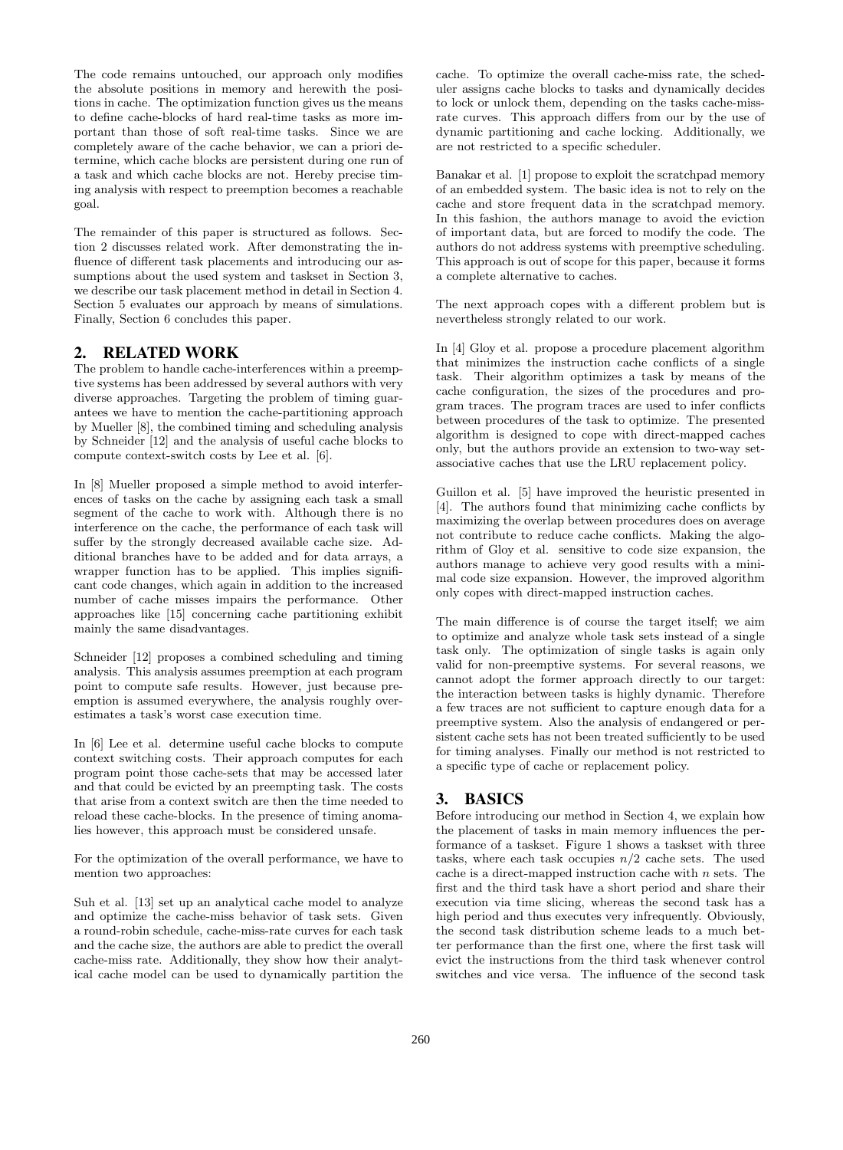The code remains untouched, our approach only modifies the absolute positions in memory and herewith the positions in cache. The optimization function gives us the means to define cache-blocks of hard real-time tasks as more important than those of soft real-time tasks. Since we are completely aware of the cache behavior, we can a priori determine, which cache blocks are persistent during one run of a task and which cache blocks are not. Hereby precise timing analysis with respect to preemption becomes a reachable goal.

The remainder of this paper is structured as follows. Section 2 discusses related work. After demonstrating the influence of different task placements and introducing our assumptions about the used system and taskset in Section 3, we describe our task placement method in detail in Section 4. Section 5 evaluates our approach by means of simulations. Finally, Section 6 concludes this paper.

# **2. RELATED WORK**

The problem to handle cache-interferences within a preemptive systems has been addressed by several authors with very diverse approaches. Targeting the problem of timing guarantees we have to mention the cache-partitioning approach by Mueller [8], the combined timing and scheduling analysis by Schneider [12] and the analysis of useful cache blocks to compute context-switch costs by Lee et al. [6].

In [8] Mueller proposed a simple method to avoid interferences of tasks on the cache by assigning each task a small segment of the cache to work with. Although there is no interference on the cache, the performance of each task will suffer by the strongly decreased available cache size. Additional branches have to be added and for data arrays, a wrapper function has to be applied. This implies significant code changes, which again in addition to the increased number of cache misses impairs the performance. Other approaches like [15] concerning cache partitioning exhibit mainly the same disadvantages.

Schneider [12] proposes a combined scheduling and timing analysis. This analysis assumes preemption at each program point to compute safe results. However, just because preemption is assumed everywhere, the analysis roughly overestimates a task's worst case execution time.

In [6] Lee et al. determine useful cache blocks to compute context switching costs. Their approach computes for each program point those cache-sets that may be accessed later and that could be evicted by an preempting task. The costs that arise from a context switch are then the time needed to reload these cache-blocks. In the presence of timing anomalies however, this approach must be considered unsafe.

For the optimization of the overall performance, we have to mention two approaches:

Suh et al. [13] set up an analytical cache model to analyze and optimize the cache-miss behavior of task sets. Given a round-robin schedule, cache-miss-rate curves for each task and the cache size, the authors are able to predict the overall cache-miss rate. Additionally, they show how their analytical cache model can be used to dynamically partition the

cache. To optimize the overall cache-miss rate, the scheduler assigns cache blocks to tasks and dynamically decides to lock or unlock them, depending on the tasks cache-missrate curves. This approach differs from our by the use of dynamic partitioning and cache locking. Additionally, we are not restricted to a specific scheduler.

Banakar et al. [1] propose to exploit the scratchpad memory of an embedded system. The basic idea is not to rely on the cache and store frequent data in the scratchpad memory. In this fashion, the authors manage to avoid the eviction of important data, but are forced to modify the code. The authors do not address systems with preemptive scheduling. This approach is out of scope for this paper, because it forms a complete alternative to caches.

The next approach copes with a different problem but is nevertheless strongly related to our work.

In [4] Gloy et al. propose a procedure placement algorithm that minimizes the instruction cache conflicts of a single task. Their algorithm optimizes a task by means of the cache configuration, the sizes of the procedures and program traces. The program traces are used to infer conflicts between procedures of the task to optimize. The presented algorithm is designed to cope with direct-mapped caches only, but the authors provide an extension to two-way setassociative caches that use the LRU replacement policy.

Guillon et al. [5] have improved the heuristic presented in [4]. The authors found that minimizing cache conflicts by maximizing the overlap between procedures does on average not contribute to reduce cache conflicts. Making the algorithm of Gloy et al. sensitive to code size expansion, the authors manage to achieve very good results with a minimal code size expansion. However, the improved algorithm only copes with direct-mapped instruction caches.

The main difference is of course the target itself; we aim to optimize and analyze whole task sets instead of a single task only. The optimization of single tasks is again only valid for non-preemptive systems. For several reasons, we cannot adopt the former approach directly to our target: the interaction between tasks is highly dynamic. Therefore a few traces are not sufficient to capture enough data for a preemptive system. Also the analysis of endangered or persistent cache sets has not been treated sufficiently to be used for timing analyses. Finally our method is not restricted to a specific type of cache or replacement policy.

# **3. BASICS**

Before introducing our method in Section 4, we explain how the placement of tasks in main memory influences the performance of a taskset. Figure 1 shows a taskset with three tasks, where each task occupies  $n/2$  cache sets. The used cache is a direct-mapped instruction cache with  $n$  sets. The first and the third task have a short period and share their execution via time slicing, whereas the second task has a high period and thus executes very infrequently. Obviously, the second task distribution scheme leads to a much better performance than the first one, where the first task will evict the instructions from the third task whenever control switches and vice versa. The influence of the second task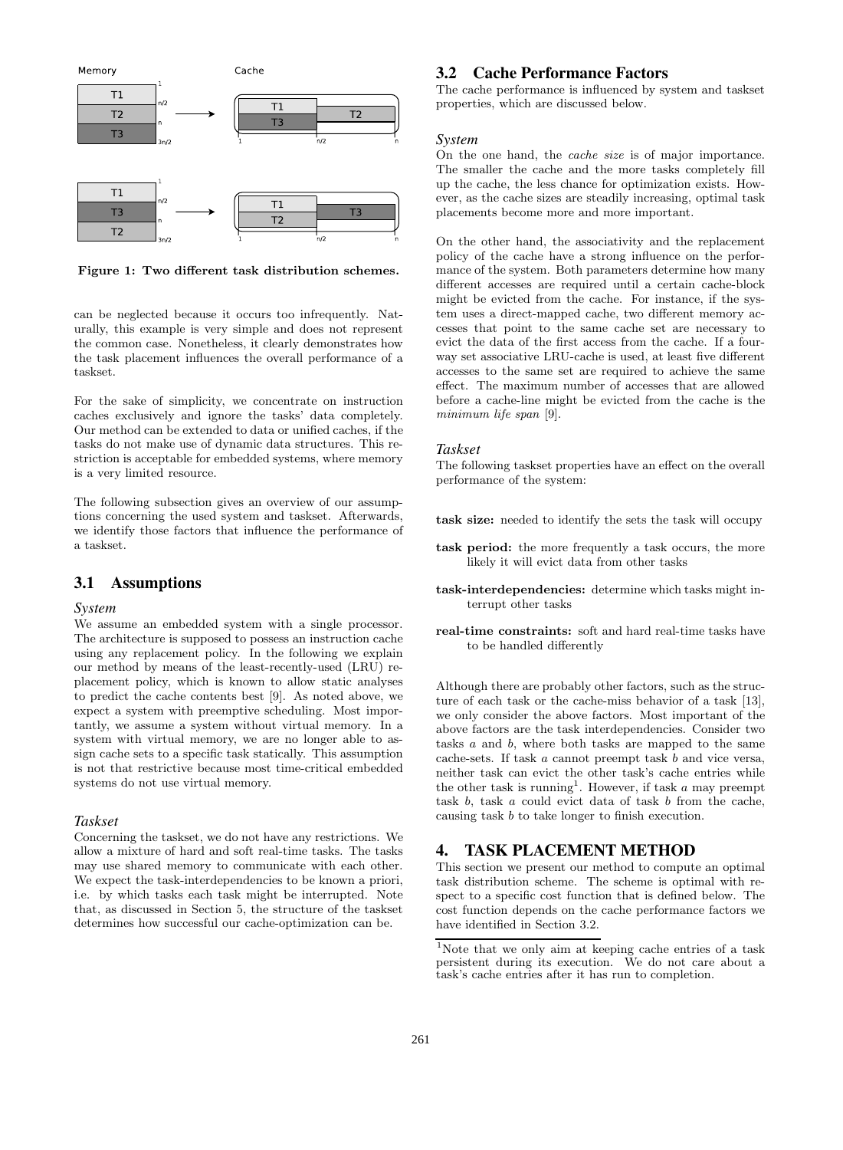

**Figure 1: Two different task distribution schemes.**

can be neglected because it occurs too infrequently. Naturally, this example is very simple and does not represent the common case. Nonetheless, it clearly demonstrates how the task placement influences the overall performance of a taskset.

For the sake of simplicity, we concentrate on instruction caches exclusively and ignore the tasks' data completely. Our method can be extended to data or unified caches, if the tasks do not make use of dynamic data structures. This restriction is acceptable for embedded systems, where memory is a very limited resource.

The following subsection gives an overview of our assumptions concerning the used system and taskset. Afterwards, we identify those factors that influence the performance of a taskset.

# **3.1 Assumptions**

#### *System*

We assume an embedded system with a single processor. The architecture is supposed to possess an instruction cache using any replacement policy. In the following we explain our method by means of the least-recently-used (LRU) replacement policy, which is known to allow static analyses to predict the cache contents best [9]. As noted above, we expect a system with preemptive scheduling. Most importantly, we assume a system without virtual memory. In a system with virtual memory, we are no longer able to assign cache sets to a specific task statically. This assumption is not that restrictive because most time-critical embedded systems do not use virtual memory.

### *Taskset*

Concerning the taskset, we do not have any restrictions. We allow a mixture of hard and soft real-time tasks. The tasks may use shared memory to communicate with each other. We expect the task-interdependencies to be known a priori, i.e. by which tasks each task might be interrupted. Note that, as discussed in Section 5, the structure of the taskset determines how successful our cache-optimization can be.

### **3.2 Cache Performance Factors**

The cache performance is influenced by system and taskset properties, which are discussed below.

#### *System*

On the one hand, the *cache size* is of major importance. The smaller the cache and the more tasks completely fill up the cache, the less chance for optimization exists. However, as the cache sizes are steadily increasing, optimal task placements become more and more important.

On the other hand, the associativity and the replacement policy of the cache have a strong influence on the performance of the system. Both parameters determine how many different accesses are required until a certain cache-block might be evicted from the cache. For instance, if the system uses a direct-mapped cache, two different memory accesses that point to the same cache set are necessary to evict the data of the first access from the cache. If a fourway set associative LRU-cache is used, at least five different accesses to the same set are required to achieve the same effect. The maximum number of accesses that are allowed before a cache-line might be evicted from the cache is the *minimum life span* [9].

#### *Taskset*

The following taskset properties have an effect on the overall performance of the system:

**task size:** needed to identify the sets the task will occupy

- **task period:** the more frequently a task occurs, the more likely it will evict data from other tasks
- **task-interdependencies:** determine which tasks might interrupt other tasks
- **real-time constraints:** soft and hard real-time tasks have to be handled differently

Although there are probably other factors, such as the structure of each task or the cache-miss behavior of a task [13], we only consider the above factors. Most important of the above factors are the task interdependencies. Consider two tasks a and b, where both tasks are mapped to the same cache-sets. If task a cannot preempt task b and vice versa, neither task can evict the other task's cache entries while the other task is running<sup>1</sup>. However, if task  $a$  may preempt task b, task a could evict data of task b from the cache, causing task b to take longer to finish execution.

# **4. TASK PLACEMENT METHOD**

This section we present our method to compute an optimal task distribution scheme. The scheme is optimal with respect to a specific cost function that is defined below. The cost function depends on the cache performance factors we have identified in Section 3.2.

<sup>1</sup>Note that we only aim at keeping cache entries of a task persistent during its execution. We do not care about a task's cache entries after it has run to completion.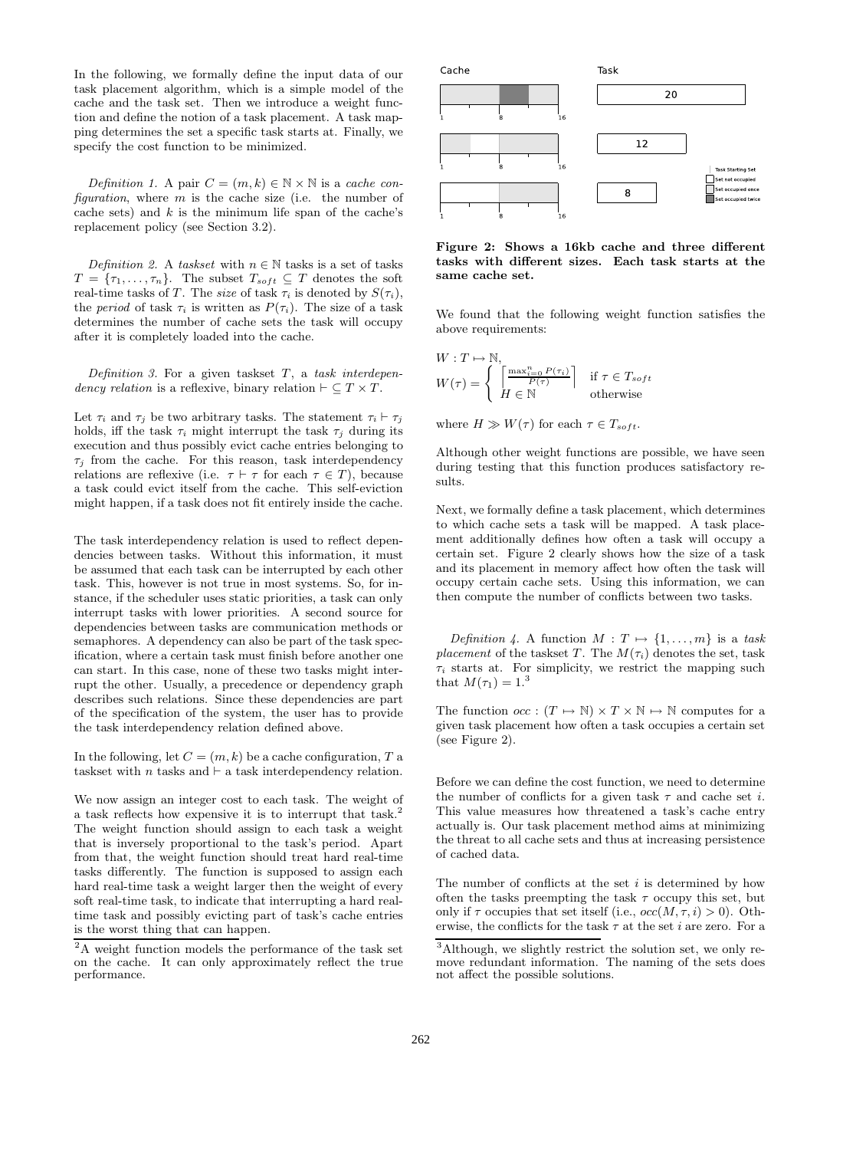In the following, we formally define the input data of our task placement algorithm, which is a simple model of the cache and the task set. Then we introduce a weight function and define the notion of a task placement. A task mapping determines the set a specific task starts at. Finally, we specify the cost function to be minimized.

*Definition 1.* A pair  $C = (m, k) \in \mathbb{N} \times \mathbb{N}$  is a *cache configuration*, where m is the cache size (i.e. the number of cache sets) and  $k$  is the minimum life span of the cache's replacement policy (see Section 3.2).

*Definition 2.* A *taskset* with  $n \in \mathbb{N}$  tasks is a set of tasks  $T = \{\tau_1, \ldots, \tau_n\}$ . The subset  $T_{soft} \subseteq T$  denotes the soft real-time tasks of T. The *size* of task  $\tau_i$  is denoted by  $S(\tau_i)$ , the *period* of task  $\tau_i$  is written as  $P(\tau_i)$ . The size of a task determines the number of cache sets the task will occupy after it is completely loaded into the cache.

*Definition 3.* For a given taskset T, a *task interdependency relation* is a reflexive, binary relation  $\vdash \subseteq T \times T$ .

Let  $\tau_i$  and  $\tau_j$  be two arbitrary tasks. The statement  $\tau_i \vdash \tau_j$ holds, iff the task  $\tau_i$  might interrupt the task  $\tau_j$  during its execution and thus possibly evict cache entries belonging to  $\tau_j$  from the cache. For this reason, task interdependency relations are reflexive (i.e.  $\tau \vdash \tau$  for each  $\tau \in T$ ), because a task could evict itself from the cache. This self-eviction might happen, if a task does not fit entirely inside the cache.

The task interdependency relation is used to reflect dependencies between tasks. Without this information, it must be assumed that each task can be interrupted by each other task. This, however is not true in most systems. So, for instance, if the scheduler uses static priorities, a task can only interrupt tasks with lower priorities. A second source for dependencies between tasks are communication methods or semaphores. A dependency can also be part of the task specification, where a certain task must finish before another one can start. In this case, none of these two tasks might interrupt the other. Usually, a precedence or dependency graph describes such relations. Since these dependencies are part of the specification of the system, the user has to provide the task interdependency relation defined above.

In the following, let  $C=\left(m,k\right)$  be a cache configuration,  $T$  a taskset with  $n$  tasks and  $\vdash$  a task interdependency relation.

We now assign an integer cost to each task. The weight of a task reflects how expensive it is to interrupt that task.<sup>2</sup> The weight function should assign to each task a weight that is inversely proportional to the task's period. Apart from that, the weight function should treat hard real-time tasks differently. The function is supposed to assign each hard real-time task a weight larger then the weight of every soft real-time task, to indicate that interrupting a hard realtime task and possibly evicting part of task's cache entries is the worst thing that can happen.



**Figure 2: Shows a 16kb cache and three different tasks with different sizes. Each task starts at the same cache set.**

We found that the following weight function satisfies the above requirements:

$$
W: T \mapsto \mathbb{N},
$$
  
\n
$$
W(\tau) = \begin{cases} \left[ \frac{\max_{i=0}^{n} P(\tau_i)}{P(\tau)} \right] & \text{if } \tau \in T_{soft} \\ H \in \mathbb{N} & \text{otherwise} \end{cases}
$$

where  $H \gg W(\tau)$  for each  $\tau \in T_{soft}$ .

Although other weight functions are possible, we have seen during testing that this function produces satisfactory results.

Next, we formally define a task placement, which determines to which cache sets a task will be mapped. A task placement additionally defines how often a task will occupy a certain set. Figure 2 clearly shows how the size of a task and its placement in memory affect how often the task will occupy certain cache sets. Using this information, we can then compute the number of conflicts between two tasks.

*Definition 4.* A function  $M: T \mapsto \{1, \ldots, m\}$  is a task *placement* of the taskset T. The  $M(\tau_i)$  denotes the set, task  $\tau_i$  starts at. For simplicity, we restrict the mapping such that  $M(\tau_1) = 1^{3}$ 

The function  $occ : (T \mapsto \mathbb{N}) \times T \times \mathbb{N} \mapsto \mathbb{N}$  computes for a given task placement how often a task occupies a certain set (see Figure 2).

Before we can define the cost function, we need to determine the number of conflicts for a given task  $\tau$  and cache set i. This value measures how threatened a task's cache entry actually is. Our task placement method aims at minimizing the threat to all cache sets and thus at increasing persistence of cached data.

The number of conflicts at the set  $i$  is determined by how often the tasks preempting the task  $\tau$  occupy this set, but only if  $\tau$  occupies that set itself (i.e.,  $occ(M, \tau, i) > 0$ ). Otherwise, the conflicts for the task  $\tau$  at the set *i* are zero. For a

 $2A$  weight function models the performance of the task set on the cache. It can only approximately reflect the true performance.

<sup>3</sup>Although, we slightly restrict the solution set, we only remove redundant information. The naming of the sets does not affect the possible solutions.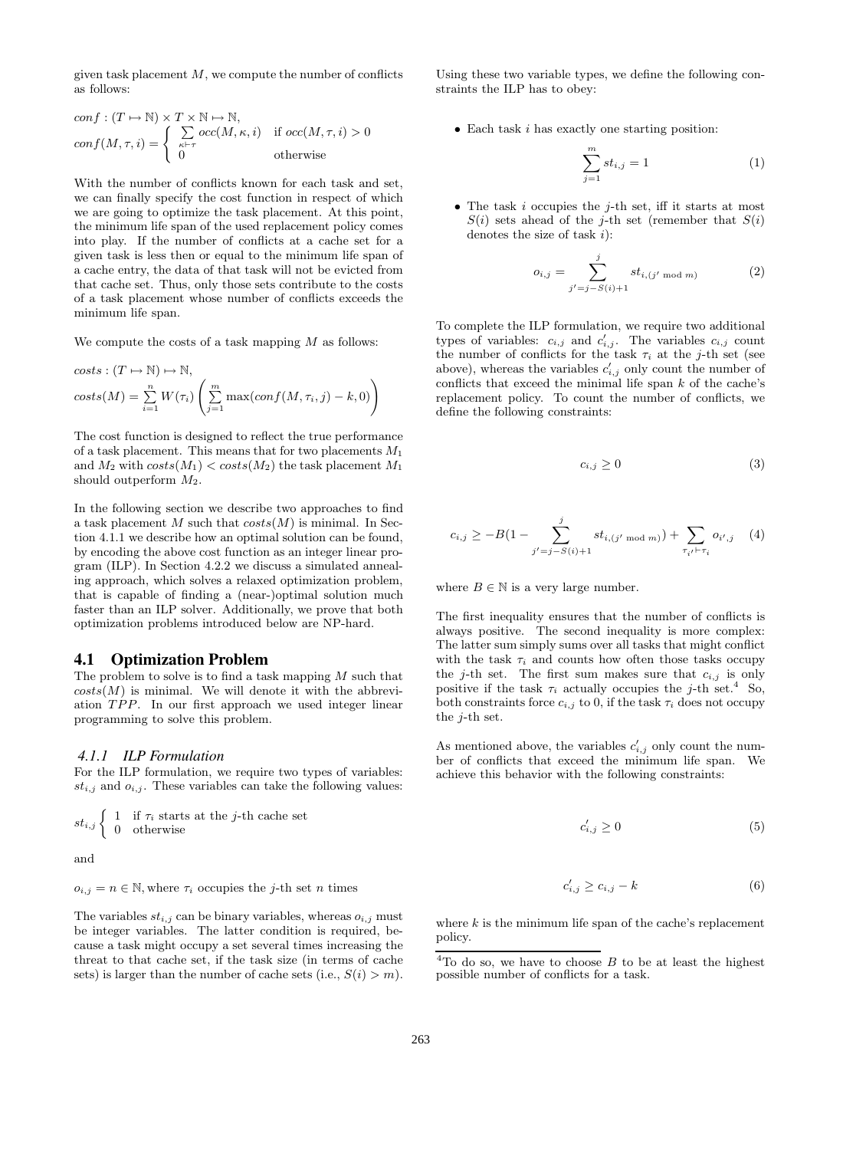given task placement  $M$ , we compute the number of conflicts as follows:

$$
conf: (T \mapsto \mathbb{N}) \times T \times \mathbb{N} \mapsto \mathbb{N},
$$
  
\n
$$
conf(M, \tau, i) = \begin{cases} \sum_{\kappa \vdash \tau} occ(M, \kappa, i) & \text{if } occ(M, \tau, i) > 0 \\ 0 & \text{otherwise} \end{cases}
$$

With the number of conflicts known for each task and set, we can finally specify the cost function in respect of which we are going to optimize the task placement. At this point, the minimum life span of the used replacement policy comes into play. If the number of conflicts at a cache set for a given task is less then or equal to the minimum life span of a cache entry, the data of that task will not be evicted from that cache set. Thus, only those sets contribute to the costs of a task placement whose number of conflicts exceeds the minimum life span.

We compute the costs of a task mapping  $M$  as follows:

costs: 
$$
(T \mapsto N) \mapsto N
$$
,  
costs $(M) = \sum_{i=1}^{n} W(\tau_i) \left( \sum_{j=1}^{m} \max(conf(M, \tau_i, j) - k, 0) \right)$ 

The cost function is designed to reflect the true performance of a task placement. This means that for two placements  $M_1$ and  $M_2$  with  $costs(M_1) < costs(M_2)$  the task placement  $M_1$ should outperform  $M_2$ .

In the following section we describe two approaches to find a task placement M such that  $costs(M)$  is minimal. In Section 4.1.1 we describe how an optimal solution can be found, by encoding the above cost function as an integer linear program (ILP). In Section 4.2.2 we discuss a simulated annealing approach, which solves a relaxed optimization problem, that is capable of finding a (near-)optimal solution much faster than an ILP solver. Additionally, we prove that both optimization problems introduced below are NP-hard.

#### **4.1 Optimization Problem**

The problem to solve is to find a task mapping  $M$  such that  $costs(M)$  is minimal. We will denote it with the abbreviation TPP. In our first approach we used integer linear programming to solve this problem.

#### *4.1.1 ILP Formulation*

For the ILP formulation, we require two types of variables:  $st_{i,j}$  and  $o_{i,j}$ . These variables can take the following values:

$$
st_{i,j} \left\{ \begin{array}{ll} 1 & \text{if } \tau_i \text{ starts at the } j\text{-th cache set} \\ 0 & \text{otherwise} \end{array} \right.
$$

and

 $o_{i,j} = n \in \mathbb{N}$ , where  $\tau_i$  occupies the *j*-th set *n* times

The variables  $st_{i,j}$  can be binary variables, whereas  $o_{i,j}$  must be integer variables. The latter condition is required, because a task might occupy a set several times increasing the threat to that cache set, if the task size (in terms of cache sets) is larger than the number of cache sets (i.e.,  $S(i) > m$ ).

Using these two variable types, we define the following constraints the ILP has to obey:

• Each task  $i$  has exactly one starting position:

$$
\sum_{j=1}^{m} st_{i,j} = 1
$$
 (1)

• The task  $i$  occupies the  $j$ -th set, iff it starts at most  $S(i)$  sets ahead of the j-th set (remember that  $S(i)$ denotes the size of task  $i$ :

$$
o_{i,j} = \sum_{j'=j-S(i)+1}^{j} st_{i,(j' \mod m)}
$$
 (2)

To complete the ILP formulation, we require two additional types of variables:  $c_{i,j}$  and  $c'_{i,j}$ . The variables  $c_{i,j}$  count the number of conflicts for the task  $\tau_i$  at the j-th set (see above), whereas the variables  $c'_{i,j}$  only count the number of conflicts that exceed the minimal life span  $k$  of the cache's replacement policy. To count the number of conflicts, we define the following constraints:

$$
c_{i,j} \ge 0 \tag{3}
$$

$$
c_{i,j} \ge -B(1 - \sum_{j'=j-S(i)+1}^{j} st_{i,(j' \mod m)}) + \sum_{\tau_{i'} \vdash \tau_i} o_{i',j} \quad (4)
$$

where  $B \in \mathbb{N}$  is a very large number.

The first inequality ensures that the number of conflicts is always positive. The second inequality is more complex: The latter sum simply sums over all tasks that might conflict with the task  $\tau_i$  and counts how often those tasks occupy the j-th set. The first sum makes sure that  $c_{i,j}$  is only positive if the task  $\tau_i$  actually occupies the j-th set.<sup>4</sup> So, both constraints force  $c_{i,j}$  to 0, if the task  $\tau_i$  does not occupy the j-th set.

As mentioned above, the variables  $c'_{i,j}$  only count the number of conflicts that exceed the minimum life span. We achieve this behavior with the following constraints:

$$
c'_{i,j} \ge 0 \tag{5}
$$

$$
c'_{i,j} \ge c_{i,j} - k \tag{6}
$$

where  $k$  is the minimum life span of the cache's replacement policy.

 $4$ To do so, we have to choose  $B$  to be at least the highest possible number of conflicts for a task.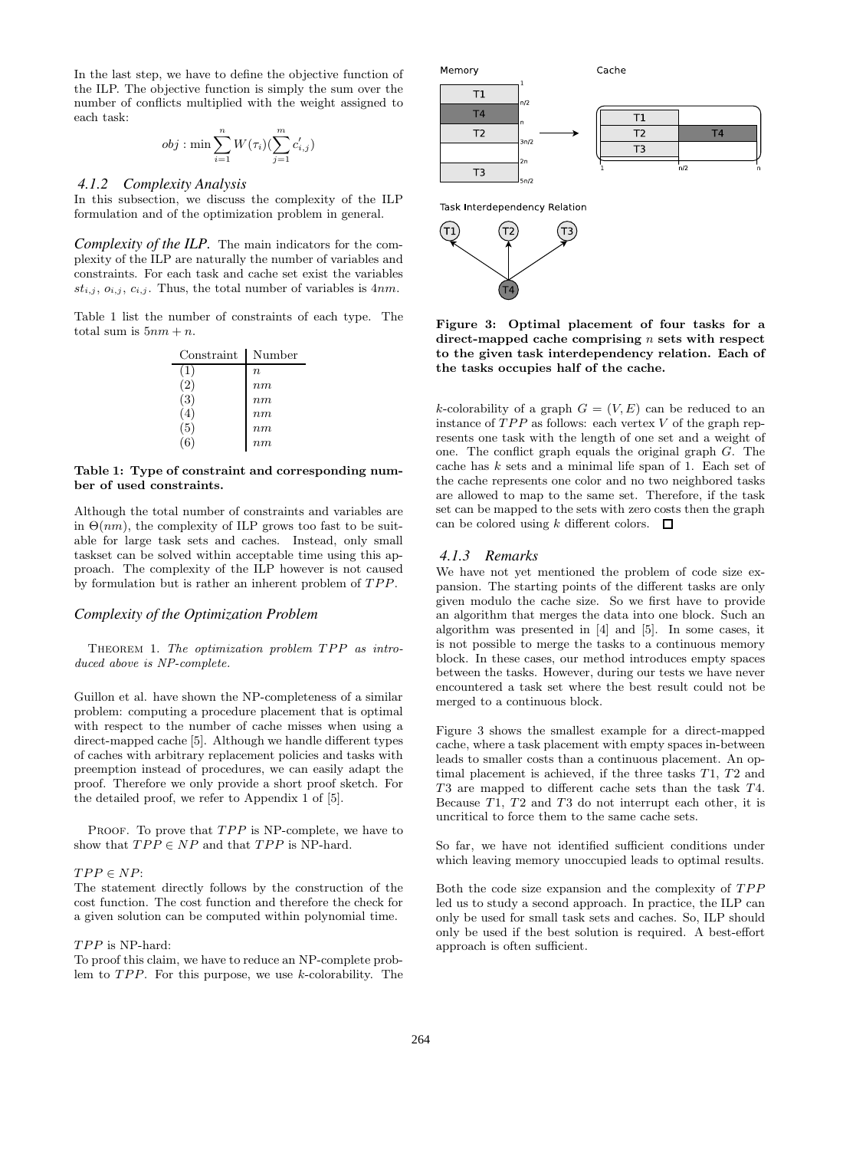In the last step, we have to define the objective function of the ILP. The objective function is simply the sum over the number of conflicts multiplied with the weight assigned to each task:

$$
obj: \min \sum_{i=1}^n W(\tau_i) (\sum_{j=1}^m c'_{i,j})
$$

### *4.1.2 Complexity Analysis*

In this subsection, we discuss the complexity of the ILP formulation and of the optimization problem in general.

*Complexity of the ILP.* The main indicators for the complexity of the ILP are naturally the number of variables and constraints. For each task and cache set exist the variables  $st_{i,j}, o_{i,j}, c_{i,j}.$  Thus, the total number of variables is  $4nm$ .

Table 1 list the number of constraints of each type. The total sum is  $5nm + n$ .

| Constraint | Number           |
|------------|------------------|
| (1)        | $\boldsymbol{n}$ |
| (2)        | nm               |
| (3)        | nm               |
| (4)        | nm               |
| (5)        | nm               |
| (6)        | nm               |

#### **Table 1: Type of constraint and corresponding number of used constraints.**

Although the total number of constraints and variables are in  $\Theta(nm)$ , the complexity of ILP grows too fast to be suitable for large task sets and caches. Instead, only small taskset can be solved within acceptable time using this approach. The complexity of the ILP however is not caused by formulation but is rather an inherent problem of TPP.

### *Complexity of the Optimization Problem*

Theorem 1. *The optimization problem* TPP *as introduced above is NP-complete.*

Guillon et al. have shown the NP-completeness of a similar problem: computing a procedure placement that is optimal with respect to the number of cache misses when using a direct-mapped cache [5]. Although we handle different types of caches with arbitrary replacement policies and tasks with preemption instead of procedures, we can easily adapt the proof. Therefore we only provide a short proof sketch. For the detailed proof, we refer to Appendix 1 of [5].

PROOF. To prove that  $TPP$  is NP-complete, we have to show that  $TPP \in NP$  and that  $TPP$  is NP-hard.

### $TPP \in NP$  :

The statement directly follows by the construction of the cost function. The cost function and therefore the check for a given solution can be computed within polynomial time.

#### TPP is NP-hard:

To proof this claim, we have to reduce an NP-complete problem to TPP. For this purpose, we use k-colorability. The



Task Interdependency Relation



**Figure 3: Optimal placement of four tasks for a direct-mapped cache comprising** n **sets with respect to the given task interdependency relation. Each of the tasks occupies half of the cache.**

k-colorability of a graph  $G = (V, E)$  can be reduced to an instance of  $TPP$  as follows: each vertex  $V$  of the graph represents one task with the length of one set and a weight of one. The conflict graph equals the original graph G. The cache has k sets and a minimal life span of 1. Each set of the cache represents one color and no two neighbored tasks are allowed to map to the same set. Therefore, if the task set can be mapped to the sets with zero costs then the graph can be colored using k different colors.  $\Box$ 

#### *4.1.3 Remarks*

We have not yet mentioned the problem of code size expansion. The starting points of the different tasks are only given modulo the cache size. So we first have to provide an algorithm that merges the data into one block. Such an algorithm was presented in [4] and [5]. In some cases, it is not possible to merge the tasks to a continuous memory block. In these cases, our method introduces empty spaces between the tasks. However, during our tests we have never encountered a task set where the best result could not be merged to a continuous block.

Figure 3 shows the smallest example for a direct-mapped cache, where a task placement with empty spaces in-between leads to smaller costs than a continuous placement. An optimal placement is achieved, if the three tasks T1, T2 and T3 are mapped to different cache sets than the task T4. Because T1, T2 and T3 do not interrupt each other, it is uncritical to force them to the same cache sets.

So far, we have not identified sufficient conditions under which leaving memory unoccupied leads to optimal results.

Both the code size expansion and the complexity of TPP led us to study a second approach. In practice, the ILP can only be used for small task sets and caches. So, ILP should only be used if the best solution is required. A best-effort approach is often sufficient.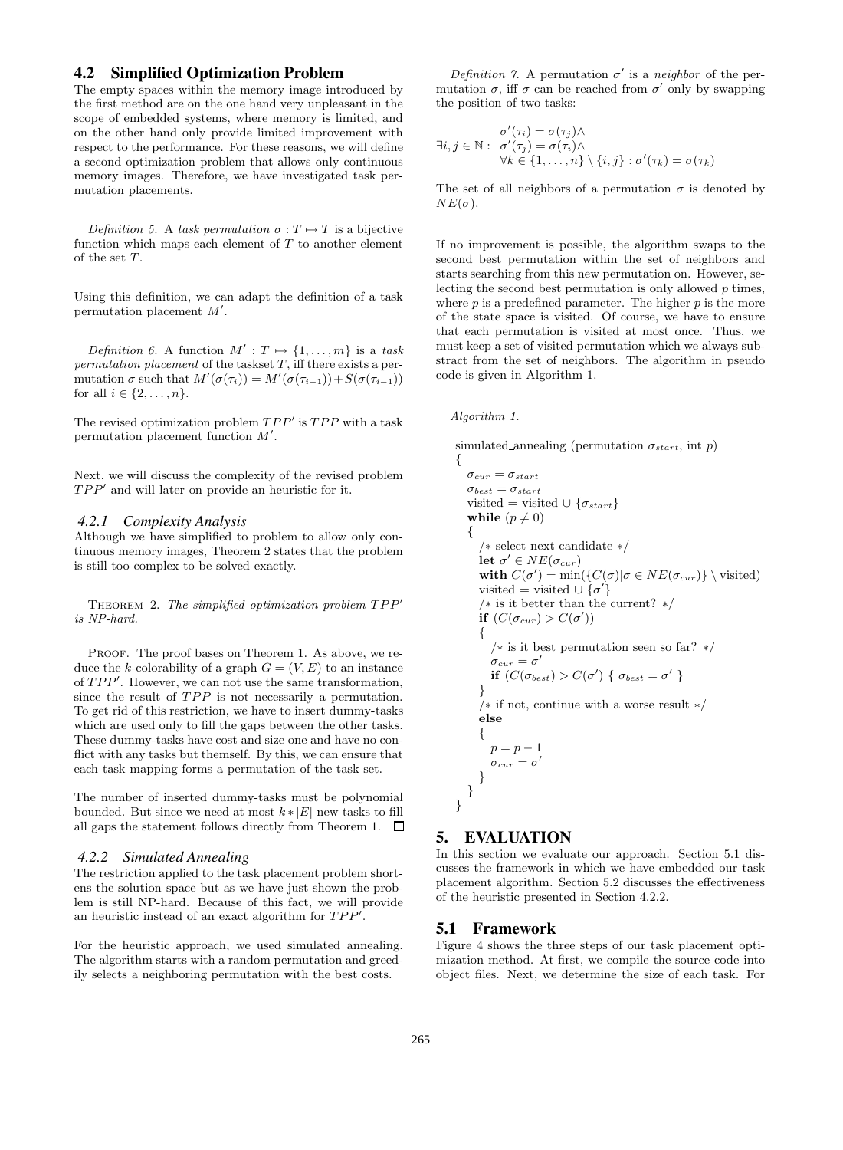### **4.2 Simplified Optimization Problem**

The empty spaces within the memory image introduced by the first method are on the one hand very unpleasant in the scope of embedded systems, where memory is limited, and on the other hand only provide limited improvement with respect to the performance. For these reasons, we will define a second optimization problem that allows only continuous memory images. Therefore, we have investigated task permutation placements.

*Definition 5.* A *task permutation*  $\sigma : T \mapsto T$  is a bijective function which maps each element of  $T$  to another element of the set T.

Using this definition, we can adapt the definition of a task permutation placement M .

*Definition 6.* A function  $M' : T \mapsto \{1, \ldots, m\}$  is a task *permutation placement* of the taskset T, iff there exists a permutation  $\sigma$  such that  $M'(\sigma(\tau_i)) = M'(\sigma(\tau_{i-1})) + S(\sigma(\tau_{i-1}))$ for all  $i \in \{2, \ldots, n\}$ .

The revised optimization problem  $TPP'$  is  $TPP$  with a task permutation placement function M .

Next, we will discuss the complexity of the revised problem  $TPP'$  and will later on provide an heuristic for it.

#### *4.2.1 Complexity Analysis*

Although we have simplified to problem to allow only continuous memory images, Theorem 2 states that the problem is still too complex to be solved exactly.

Theorem 2. *The simplified optimization problem* TPP *is NP-hard.*

PROOF. The proof bases on Theorem 1. As above, we reduce the k-colorability of a graph  $G = (V, E)$  to an instance of TPP . However, we can not use the same transformation, since the result of TPP is not necessarily a permutation. To get rid of this restriction, we have to insert dummy-tasks which are used only to fill the gaps between the other tasks. These dummy-tasks have cost and size one and have no conflict with any tasks but themself. By this, we can ensure that each task mapping forms a permutation of the task set.

The number of inserted dummy-tasks must be polynomial bounded. But since we need at most  $k * |E|$  new tasks to fill all gaps the statement follows directly from Theorem 1.  $\Box$ 

#### *4.2.2 Simulated Annealing*

The restriction applied to the task placement problem shortens the solution space but as we have just shown the problem is still NP-hard. Because of this fact, we will provide an heuristic instead of an exact algorithm for TPP .

For the heuristic approach, we used simulated annealing. The algorithm starts with a random permutation and greedily selects a neighboring permutation with the best costs.

*Definition 7.* A permutation  $\sigma'$  is a *neighbor* of the permutation  $\sigma$ , iff  $\sigma$  can be reached from  $\sigma'$  only by swapping the position of two tasks:

$$
\exists i, j \in \mathbb{N}: \begin{array}{l} \sigma'(\tau_i) = \sigma(\tau_j) \wedge \\ \forall k \in \{1, \ldots, n\} \setminus \{i, j\} : \sigma'(\tau_k) = \sigma(\tau_k) \end{array}
$$

The set of all neighbors of a permutation  $\sigma$  is denoted by  $NE(\sigma)$ .

If no improvement is possible, the algorithm swaps to the second best permutation within the set of neighbors and starts searching from this new permutation on. However, selecting the second best permutation is only allowed  $p$  times, where  $p$  is a predefined parameter. The higher  $p$  is the more of the state space is visited. Of course, we have to ensure that each permutation is visited at most once. Thus, we must keep a set of visited permutation which we always substract from the set of neighbors. The algorithm in pseudo code is given in Algorithm 1.

#### *Algorithm 1.*

simulated annealing (permutation  $\sigma_{start}$ , int p)

```
{
  \sigma_{cur} = \sigma_{start}\sigma_{best} = \sigma_{start}visited = visited \cup \{\sigma_{start}\}\while (p \neq 0){
      /∗ select next candidate ∗/
      let \sigma' \in NE(\sigma_{cur})with C(\sigma') = \min(\{C(\sigma) | \sigma \in NE(\sigma_{cur})\} \setminus \text{visited})visited = visited \cup {\sigma'}
      /∗ is it better than the current? ∗/
      if (C(\sigma_{cur}) > C(\sigma')){
         /∗ is it best permutation seen so far? ∗/
         \sigma_{cur}=\sigma'if (C(\sigma_{best}) > C(\sigma') \{ \sigma_{best} = \sigma' \}}
      /∗ if not, continue with a worse result ∗/
      else
      {
        p = p - 1\sigma_{cur} = \sigma'}
  }
}
```
# **5. EVALUATION**

In this section we evaluate our approach. Section 5.1 discusses the framework in which we have embedded our task placement algorithm. Section 5.2 discusses the effectiveness of the heuristic presented in Section 4.2.2.

#### **5.1 Framework**

Figure 4 shows the three steps of our task placement optimization method. At first, we compile the source code into object files. Next, we determine the size of each task. For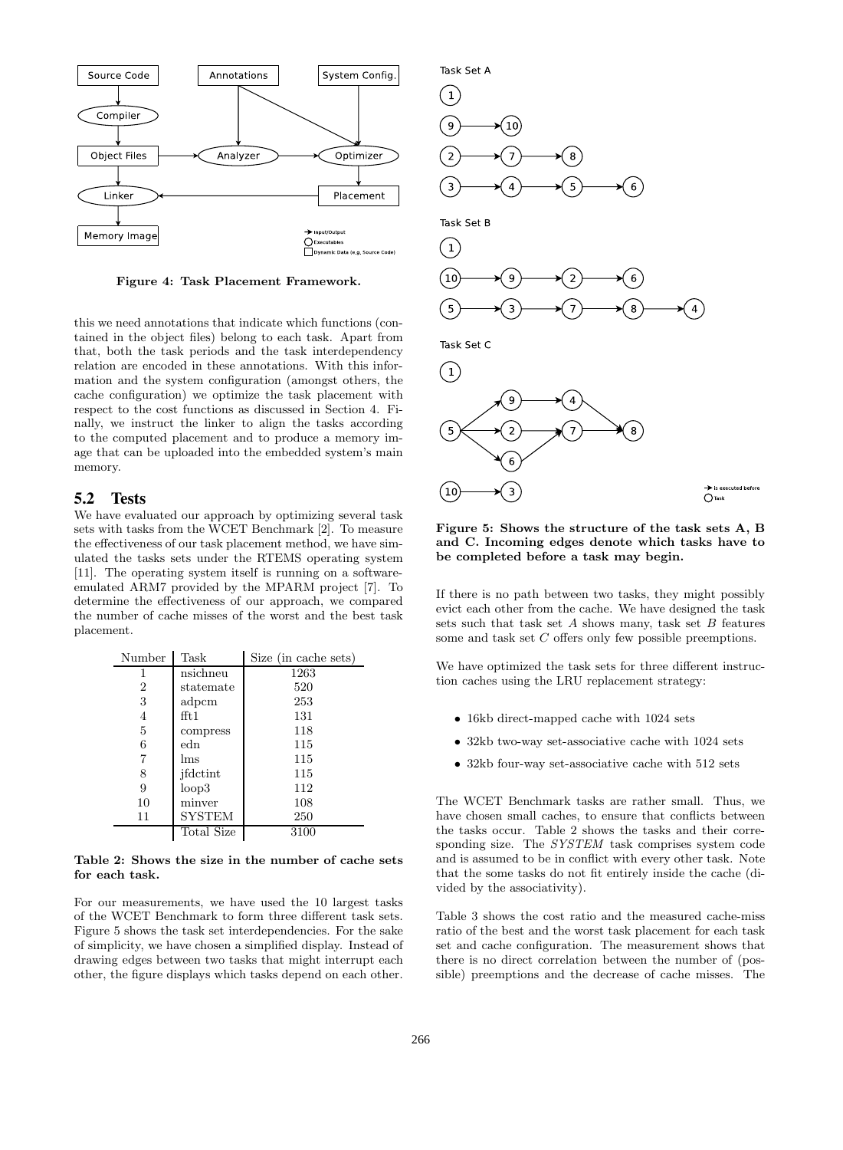

**Figure 4: Task Placement Framework.**

this we need annotations that indicate which functions (contained in the object files) belong to each task. Apart from that, both the task periods and the task interdependency relation are encoded in these annotations. With this information and the system configuration (amongst others, the cache configuration) we optimize the task placement with respect to the cost functions as discussed in Section 4. Finally, we instruct the linker to align the tasks according to the computed placement and to produce a memory image that can be uploaded into the embedded system's main memory.

### **5.2 Tests**

We have evaluated our approach by optimizing several task sets with tasks from the WCET Benchmark [2]. To measure the effectiveness of our task placement method, we have simulated the tasks sets under the RTEMS operating system [11]. The operating system itself is running on a softwareemulated ARM7 provided by the MPARM project [7]. To determine the effectiveness of our approach, we compared the number of cache misses of the worst and the best task placement.

| Number         | Task          | Size (in cache sets) |  |
|----------------|---------------|----------------------|--|
|                | nsichneu      | 1263                 |  |
| $\overline{2}$ | statemate     | 520                  |  |
| 3              | adpcm         | 253                  |  |
| 4              | fft:1         | 131                  |  |
| 5              | compress      | 118                  |  |
| 6              | edn           | 115                  |  |
| 7              | lms           | 115                  |  |
| 8              | jfdctint      | 115                  |  |
| 9              | loop3         | 112                  |  |
| 10             | minver        | 108                  |  |
| 11             | <b>SYSTEM</b> | 250                  |  |
|                | Total Size    | 3100                 |  |

#### **Table 2: Shows the size in the number of cache sets for each task.**

For our measurements, we have used the 10 largest tasks of the WCET Benchmark to form three different task sets. Figure 5 shows the task set interdependencies. For the sake of simplicity, we have chosen a simplified display. Instead of drawing edges between two tasks that might interrupt each other, the figure displays which tasks depend on each other.



**Figure 5: Shows the structure of the task sets A, B and C. Incoming edges denote which tasks have to be completed before a task may begin.**

If there is no path between two tasks, they might possibly evict each other from the cache. We have designed the task sets such that task set  $A$  shows many, task set  $B$  features some and task set C offers only few possible preemptions.

We have optimized the task sets for three different instruction caches using the LRU replacement strategy:

- 16kb direct-mapped cache with 1024 sets
- 32kb two-way set-associative cache with 1024 sets
- 32kb four-way set-associative cache with 512 sets

The WCET Benchmark tasks are rather small. Thus, we have chosen small caches, to ensure that conflicts between the tasks occur. Table 2 shows the tasks and their corresponding size. The *SYSTEM* task comprises system code and is assumed to be in conflict with every other task. Note that the some tasks do not fit entirely inside the cache (divided by the associativity).

Table 3 shows the cost ratio and the measured cache-miss ratio of the best and the worst task placement for each task set and cache configuration. The measurement shows that there is no direct correlation between the number of (possible) preemptions and the decrease of cache misses. The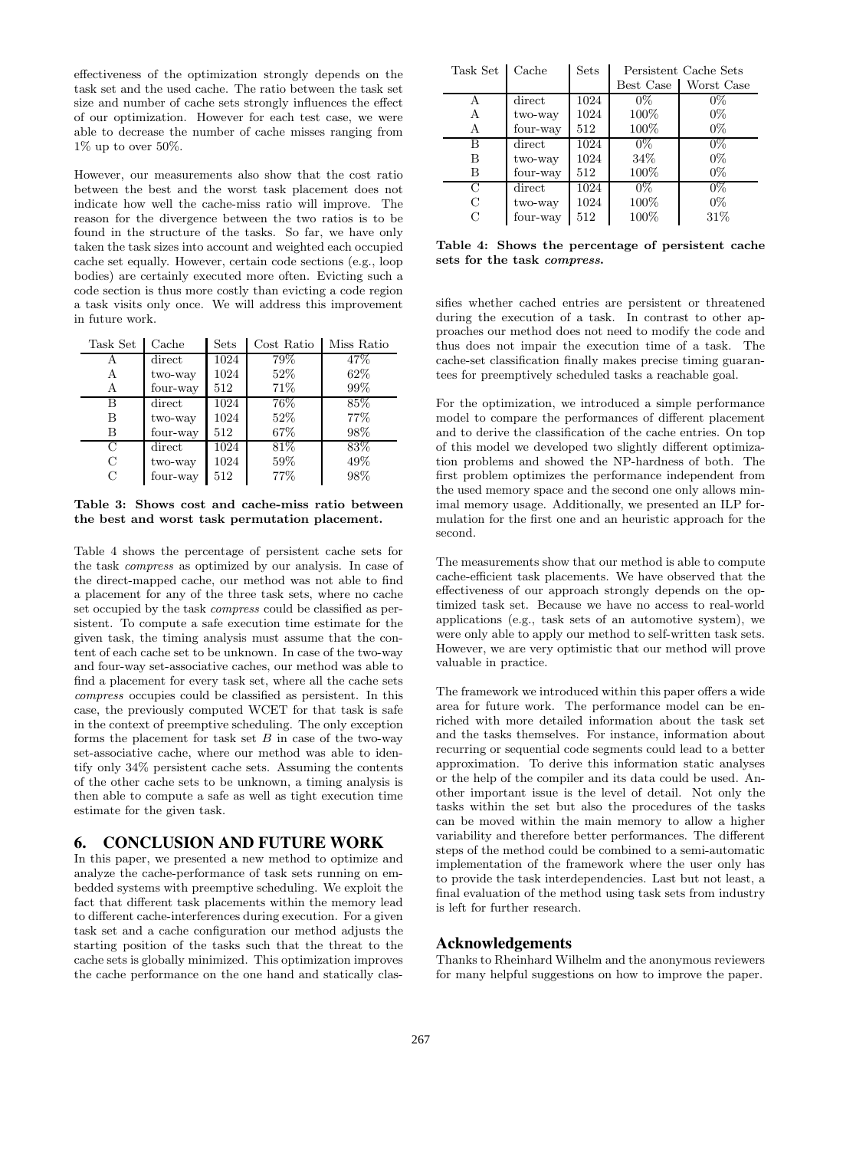effectiveness of the optimization strongly depends on the task set and the used cache. The ratio between the task set size and number of cache sets strongly influences the effect of our optimization. However for each test case, we were able to decrease the number of cache misses ranging from  $1\%$  up to over 50%.

However, our measurements also show that the cost ratio between the best and the worst task placement does not indicate how well the cache-miss ratio will improve. The reason for the divergence between the two ratios is to be found in the structure of the tasks. So far, we have only taken the task sizes into account and weighted each occupied cache set equally. However, certain code sections (e.g., loop bodies) are certainly executed more often. Evicting such a code section is thus more costly than evicting a code region a task visits only once. We will address this improvement in future work.

| Task Set      | Cache    | <b>Sets</b> | Cost Ratio | Miss Ratio |
|---------------|----------|-------------|------------|------------|
| Α             | direct   | 1024        | 79%        | 47\%       |
| А             | two-way  | 1024        | 52%        | 62\%       |
| А             | four-way | 512         | 71%        | 99%        |
| В             | direct   | 1024        | 76%        | 85%        |
| В             | two-way  | 1024        | 52%        | 77\%       |
| В             | four-way | 512         | 67%        | 98\%       |
| С             | direct   | 1024        | 81\%       | 83%        |
| $\mathcal{C}$ | two-way  | 1024        | 59%        | 49%        |
| С             | four-way | 512         | 77%        | 98%        |

**Table 3: Shows cost and cache-miss ratio between the best and worst task permutation placement.**

Table 4 shows the percentage of persistent cache sets for the task *compress* as optimized by our analysis. In case of the direct-mapped cache, our method was not able to find a placement for any of the three task sets, where no cache set occupied by the task *compress* could be classified as persistent. To compute a safe execution time estimate for the given task, the timing analysis must assume that the content of each cache set to be unknown. In case of the two-way and four-way set-associative caches, our method was able to find a placement for every task set, where all the cache sets *compress* occupies could be classified as persistent. In this case, the previously computed WCET for that task is safe in the context of preemptive scheduling. The only exception forms the placement for task set  $B$  in case of the two-way set-associative cache, where our method was able to identify only 34% persistent cache sets. Assuming the contents of the other cache sets to be unknown, a timing analysis is then able to compute a safe as well as tight execution time estimate for the given task.

# **6. CONCLUSION AND FUTURE WORK**

In this paper, we presented a new method to optimize and analyze the cache-performance of task sets running on embedded systems with preemptive scheduling. We exploit the fact that different task placements within the memory lead to different cache-interferences during execution. For a given task set and a cache configuration our method adjusts the starting position of the tasks such that the threat to the cache sets is globally minimized. This optimization improves the cache performance on the one hand and statically clas-

| Task Set | Cache    | Sets | Persistent Cache Sets |            |
|----------|----------|------|-----------------------|------------|
|          |          |      | Best Case             | Worst Case |
| А        | direct   | 1024 | $0\%$                 | $0\%$      |
| A        | two-way  | 1024 | 100%                  | $0\%$      |
| A        | four-way | 512  | 100%                  | $0\%$      |
| В        | direct   | 1024 | $0\%$                 | $0\%$      |
| В        | two-way  | 1024 | 34\%                  | $0\%$      |
| В        | four-way | 512  | 100%                  | $0\%$      |
| C        | direct   | 1024 | $0\%$                 | $0\%$      |
| С        | two-way  | 1024 | 100%                  | $0\%$      |
| C        | four-way | 512  | $100\%$               | 31\%       |

**Table 4: Shows the percentage of persistent cache sets for the task** *compress***.**

sifies whether cached entries are persistent or threatened during the execution of a task. In contrast to other approaches our method does not need to modify the code and thus does not impair the execution time of a task. The cache-set classification finally makes precise timing guarantees for preemptively scheduled tasks a reachable goal.

For the optimization, we introduced a simple performance model to compare the performances of different placement and to derive the classification of the cache entries. On top of this model we developed two slightly different optimization problems and showed the NP-hardness of both. The first problem optimizes the performance independent from the used memory space and the second one only allows minimal memory usage. Additionally, we presented an ILP formulation for the first one and an heuristic approach for the second.

The measurements show that our method is able to compute cache-efficient task placements. We have observed that the effectiveness of our approach strongly depends on the optimized task set. Because we have no access to real-world applications (e.g., task sets of an automotive system), we were only able to apply our method to self-written task sets. However, we are very optimistic that our method will prove valuable in practice.

The framework we introduced within this paper offers a wide area for future work. The performance model can be enriched with more detailed information about the task set and the tasks themselves. For instance, information about recurring or sequential code segments could lead to a better approximation. To derive this information static analyses or the help of the compiler and its data could be used. Another important issue is the level of detail. Not only the tasks within the set but also the procedures of the tasks can be moved within the main memory to allow a higher variability and therefore better performances. The different steps of the method could be combined to a semi-automatic implementation of the framework where the user only has to provide the task interdependencies. Last but not least, a final evaluation of the method using task sets from industry is left for further research.

# **Acknowledgements**

Thanks to Rheinhard Wilhelm and the anonymous reviewers for many helpful suggestions on how to improve the paper.